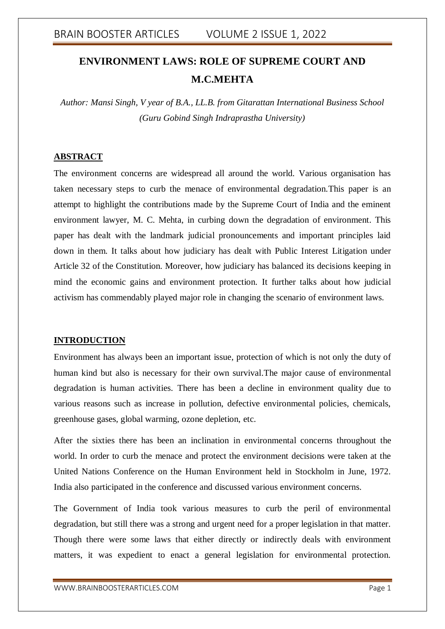# **ENVIRONMENT LAWS: ROLE OF SUPREME COURT AND M.C.MEHTA**

*Author: Mansi Singh, V year of B.A., LL.B. from Gitarattan International Business School (Guru Gobind Singh Indraprastha University)*

### **ABSTRACT**

The environment concerns are widespread all around the world. Various organisation has taken necessary steps to curb the menace of environmental degradation.This paper is an attempt to highlight the contributions made by the Supreme Court of India and the eminent environment lawyer, M. C. Mehta, in curbing down the degradation of environment. This paper has dealt with the landmark judicial pronouncements and important principles laid down in them. It talks about how judiciary has dealt with Public Interest Litigation under Article 32 of the Constitution. Moreover, how judiciary has balanced its decisions keeping in mind the economic gains and environment protection. It further talks about how judicial activism has commendably played major role in changing the scenario of environment laws.

#### **INTRODUCTION**

Environment has always been an important issue, protection of which is not only the duty of human kind but also is necessary for their own survival.The major cause of environmental degradation is human activities. There has been a decline in environment quality due to various reasons such as increase in pollution, defective environmental policies, chemicals, greenhouse gases, global warming, ozone depletion, etc.

After the sixties there has been an inclination in environmental concerns throughout the world. In order to curb the menace and protect the environment decisions were taken at the United Nations Conference on the Human Environment held in Stockholm in June, 1972. India also participated in the conference and discussed various environment concerns.

The Government of India took various measures to curb the peril of environmental degradation, but still there was a strong and urgent need for a proper legislation in that matter. Though there were some laws that either directly or indirectly deals with environment matters, it was expedient to enact a general legislation for environmental protection.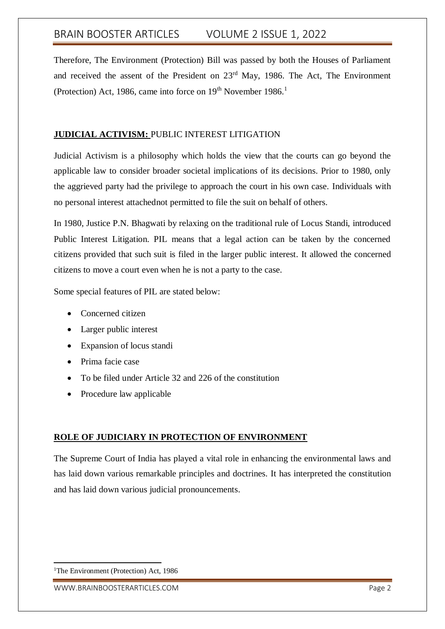Therefore, The Environment (Protection) Bill was passed by both the Houses of Parliament and received the assent of the President on 23<sup>rd</sup> May, 1986. The Act, The Environment (Protection) Act, 1986, came into force on  $19<sup>th</sup>$  November  $1986<sup>1</sup>$ 

## **JUDICIAL ACTIVISM:** PUBLIC INTEREST LITIGATION

Judicial Activism is a philosophy which holds the view that the courts can go beyond the applicable law to consider broader societal implications of its decisions. Prior to 1980, only the aggrieved party had the privilege to approach the court in his own case. Individuals with no personal interest attachednot permitted to file the suit on behalf of others.

In 1980, Justice P.N. Bhagwati by relaxing on the traditional rule of Locus Standi, introduced Public Interest Litigation. PIL means that a legal action can be taken by the concerned citizens provided that such suit is filed in the larger public interest. It allowed the concerned citizens to move a court even when he is not a party to the case.

Some special features of PIL are stated below:

- Concerned citizen
- Larger public interest
- Expansion of locus standi
- Prima facie case
- To be filed under Article 32 and 226 of the constitution
- Procedure law applicable

## **ROLE OF JUDICIARY IN PROTECTION OF ENVIRONMENT**

The Supreme Court of India has played a vital role in enhancing the environmental laws and has laid down various remarkable principles and doctrines. It has interpreted the constitution and has laid down various judicial pronouncements.

<sup>-</sup><sup>1</sup>The Environment (Protection) Act, 1986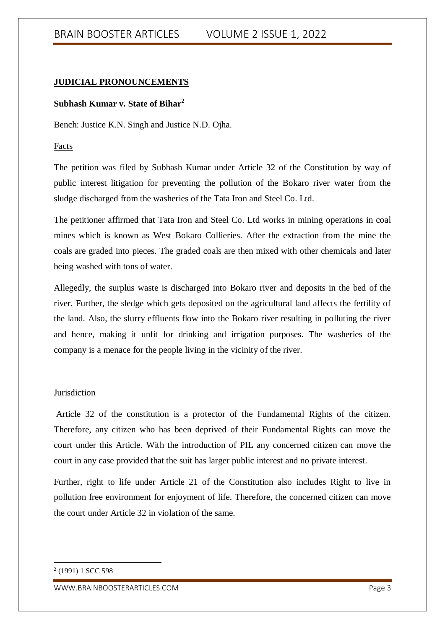## **JUDICIAL PRONOUNCEMENTS**

#### **Subhash Kumar v. State of Bihar<sup>2</sup>**

Bench: Justice K.N. Singh and Justice N.D. Ojha.

Facts

The petition was filed by Subhash Kumar under Article 32 of the Constitution by way of public interest litigation for preventing the pollution of the Bokaro river water from the sludge discharged from the washeries of the Tata Iron and Steel Co. Ltd.

The petitioner affirmed that Tata Iron and Steel Co. Ltd works in mining operations in coal mines which is known as West Bokaro Collieries. After the extraction from the mine the coals are graded into pieces. The graded coals are then mixed with other chemicals and later being washed with tons of water.

Allegedly, the surplus waste is discharged into Bokaro river and deposits in the bed of the river. Further, the sledge which gets deposited on the agricultural land affects the fertility of the land. Also, the slurry effluents flow into the Bokaro river resulting in polluting the river and hence, making it unfit for drinking and irrigation purposes. The washeries of the company is a menace for the people living in the vicinity of the river.

#### Jurisdiction

Article 32 of the constitution is a protector of the Fundamental Rights of the citizen. Therefore, any citizen who has been deprived of their Fundamental Rights can move the court under this Article. With the introduction of PIL any concerned citizen can move the court in any case provided that the suit has larger public interest and no private interest.

Further, right to life under Article 21 of the Constitution also includes Right to live in pollution free environment for enjoyment of life. Therefore, the concerned citizen can move the court under Article 32 in violation of the same.

-

<sup>&</sup>lt;sup>2</sup> (1991) 1 SCC 598

WWW.BRAINBOOSTERARTICLES.COM extended that the control of the page 3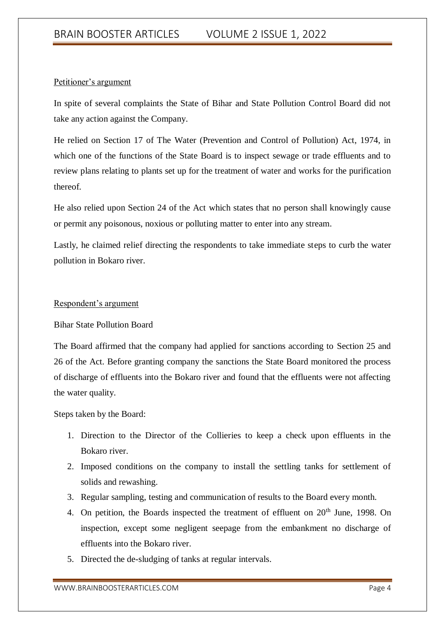### Petitioner's argument

In spite of several complaints the State of Bihar and State Pollution Control Board did not take any action against the Company.

He relied on Section 17 of The Water (Prevention and Control of Pollution) Act, 1974, in which one of the functions of the State Board is to inspect sewage or trade effluents and to review plans relating to plants set up for the treatment of water and works for the purification thereof.

He also relied upon Section 24 of the Act which states that no person shall knowingly cause or permit any poisonous, noxious or polluting matter to enter into any stream.

Lastly, he claimed relief directing the respondents to take immediate steps to curb the water pollution in Bokaro river.

### Respondent's argument

### Bihar State Pollution Board

The Board affirmed that the company had applied for sanctions according to Section 25 and 26 of the Act. Before granting company the sanctions the State Board monitored the process of discharge of effluents into the Bokaro river and found that the effluents were not affecting the water quality.

Steps taken by the Board:

- 1. Direction to the Director of the Collieries to keep a check upon effluents in the Bokaro river.
- 2. Imposed conditions on the company to install the settling tanks for settlement of solids and rewashing.
- 3. Regular sampling, testing and communication of results to the Board every month.
- 4. On petition, the Boards inspected the treatment of effluent on 20<sup>th</sup> June, 1998. On inspection, except some negligent seepage from the embankment no discharge of effluents into the Bokaro river.
- 5. Directed the de-sludging of tanks at regular intervals.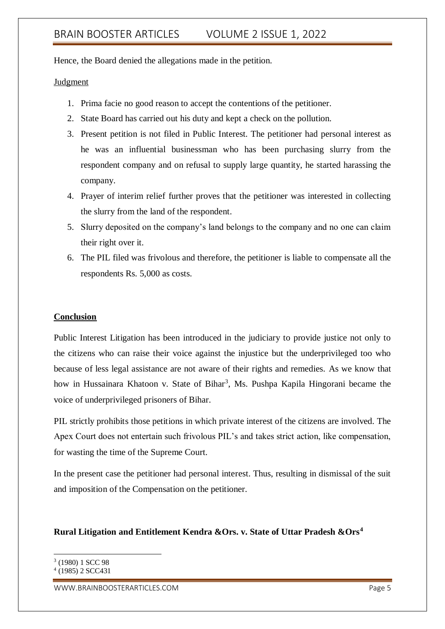Hence, the Board denied the allegations made in the petition.

#### Judgment

- 1. Prima facie no good reason to accept the contentions of the petitioner.
- 2. State Board has carried out his duty and kept a check on the pollution.
- 3. Present petition is not filed in Public Interest. The petitioner had personal interest as he was an influential businessman who has been purchasing slurry from the respondent company and on refusal to supply large quantity, he started harassing the company.
- 4. Prayer of interim relief further proves that the petitioner was interested in collecting the slurry from the land of the respondent.
- 5. Slurry deposited on the company's land belongs to the company and no one can claim their right over it.
- 6. The PIL filed was frivolous and therefore, the petitioner is liable to compensate all the respondents Rs. 5,000 as costs.

#### **Conclusion**

Public Interest Litigation has been introduced in the judiciary to provide justice not only to the citizens who can raise their voice against the injustice but the underprivileged too who because of less legal assistance are not aware of their rights and remedies. As we know that how in Hussainara Khatoon v. State of Bihar<sup>3</sup>, Ms. Pushpa Kapila Hingorani became the voice of underprivileged prisoners of Bihar.

PIL strictly prohibits those petitions in which private interest of the citizens are involved. The Apex Court does not entertain such frivolous PIL's and takes strict action, like compensation, for wasting the time of the Supreme Court.

In the present case the petitioner had personal interest. Thus, resulting in dismissal of the suit and imposition of the Compensation on the petitioner.

### **Rural Litigation and Entitlement Kendra &Ors. v. State of Uttar Pradesh &Ors<sup>4</sup>**

**.** 

WWW.BRAINBOOSTERARTICLES.COM extended that the control of the page 5

<sup>3</sup> (1980) 1 SCC 98

<sup>4</sup> (1985) 2 SCC431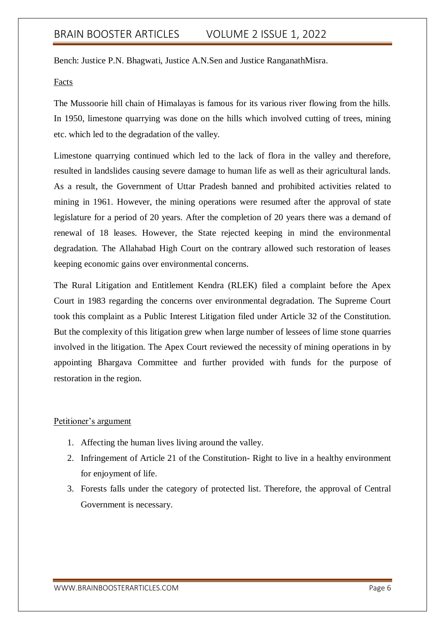Bench: Justice P.N. Bhagwati, Justice A.N.Sen and Justice RanganathMisra.

#### Facts

The Mussoorie hill chain of Himalayas is famous for its various river flowing from the hills. In 1950, limestone quarrying was done on the hills which involved cutting of trees, mining etc. which led to the degradation of the valley.

Limestone quarrying continued which led to the lack of flora in the valley and therefore, resulted in landslides causing severe damage to human life as well as their agricultural lands. As a result, the Government of Uttar Pradesh banned and prohibited activities related to mining in 1961. However, the mining operations were resumed after the approval of state legislature for a period of 20 years. After the completion of 20 years there was a demand of renewal of 18 leases. However, the State rejected keeping in mind the environmental degradation. The Allahabad High Court on the contrary allowed such restoration of leases keeping economic gains over environmental concerns.

The Rural Litigation and Entitlement Kendra (RLEK) filed a complaint before the Apex Court in 1983 regarding the concerns over environmental degradation. The Supreme Court took this complaint as a Public Interest Litigation filed under Article 32 of the Constitution. But the complexity of this litigation grew when large number of lessees of lime stone quarries involved in the litigation. The Apex Court reviewed the necessity of mining operations in by appointing Bhargava Committee and further provided with funds for the purpose of restoration in the region.

#### Petitioner's argument

- 1. Affecting the human lives living around the valley.
- 2. Infringement of Article 21 of the Constitution- Right to live in a healthy environment for enjoyment of life.
- 3. Forests falls under the category of protected list. Therefore, the approval of Central Government is necessary.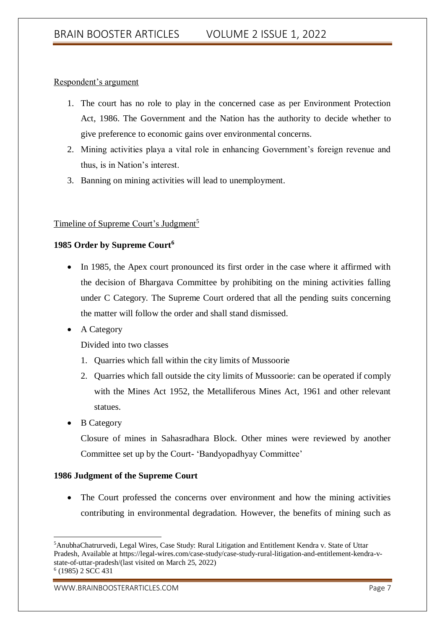### Respondent's argument

- 1. The court has no role to play in the concerned case as per Environment Protection Act, 1986. The Government and the Nation has the authority to decide whether to give preference to economic gains over environmental concerns.
- 2. Mining activities playa a vital role in enhancing Government's foreign revenue and thus, is in Nation's interest.
- 3. Banning on mining activities will lead to unemployment.

## Timeline of Supreme Court's Judgment<sup>5</sup>

## **1985 Order by Supreme Court<sup>6</sup>**

- In 1985, the Apex court pronounced its first order in the case where it affirmed with the decision of Bhargava Committee by prohibiting on the mining activities falling under C Category. The Supreme Court ordered that all the pending suits concerning the matter will follow the order and shall stand dismissed.
- A Category

Divided into two classes

- 1. Quarries which fall within the city limits of Mussoorie
- 2. Quarries which fall outside the city limits of Mussoorie: can be operated if comply with the Mines Act 1952, the Metalliferous Mines Act, 1961 and other relevant statues.
- B Category

Closure of mines in Sahasradhara Block. Other mines were reviewed by another Committee set up by the Court- 'Bandyopadhyay Committee'

### **1986 Judgment of the Supreme Court**

• The Court professed the concerns over environment and how the mining activities contributing in environmental degradation. However, the benefits of mining such as

<sup>1</sup> <sup>5</sup>AnubhaChatrurvedi, Legal Wires, Case Study: Rural Litigation and Entitlement Kendra v. State of Uttar Pradesh, Available at https://legal-wires.com/case-study/case-study-rural-litigation-and-entitlement-kendra-vstate-of-uttar-pradesh/(last visited on March 25, 2022) 6 (1985) 2 SCC 431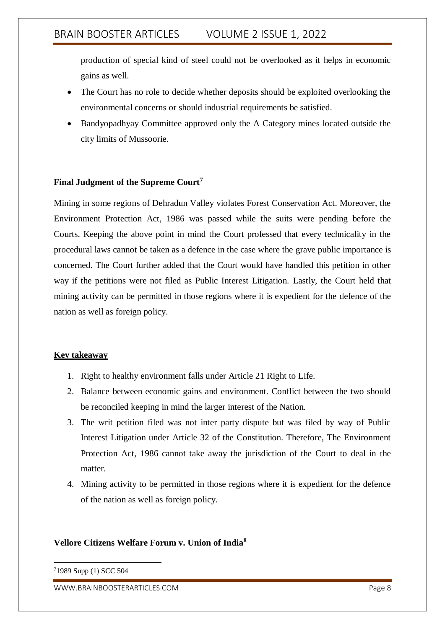production of special kind of steel could not be overlooked as it helps in economic gains as well.

- The Court has no role to decide whether deposits should be exploited overlooking the environmental concerns or should industrial requirements be satisfied.
- Bandyopadhyay Committee approved only the A Category mines located outside the city limits of Mussoorie.

## **Final Judgment of the Supreme Court<sup>7</sup>**

Mining in some regions of Dehradun Valley violates Forest Conservation Act. Moreover, the Environment Protection Act, 1986 was passed while the suits were pending before the Courts. Keeping the above point in mind the Court professed that every technicality in the procedural laws cannot be taken as a defence in the case where the grave public importance is concerned. The Court further added that the Court would have handled this petition in other way if the petitions were not filed as Public Interest Litigation. Lastly, the Court held that mining activity can be permitted in those regions where it is expedient for the defence of the nation as well as foreign policy.

### **Key takeaway**

- 1. Right to healthy environment falls under Article 21 Right to Life.
- 2. Balance between economic gains and environment. Conflict between the two should be reconciled keeping in mind the larger interest of the Nation.
- 3. The writ petition filed was not inter party dispute but was filed by way of Public Interest Litigation under Article 32 of the Constitution. Therefore, The Environment Protection Act, 1986 cannot take away the jurisdiction of the Court to deal in the matter.
- 4. Mining activity to be permitted in those regions where it is expedient for the defence of the nation as well as foreign policy.

### **Vellore Citizens Welfare Forum v. Union of India<sup>8</sup>**

-71989 Supp (1) SCC 504

WWW.BRAINBOOSTERARTICLES.COM extended that the control of the page 8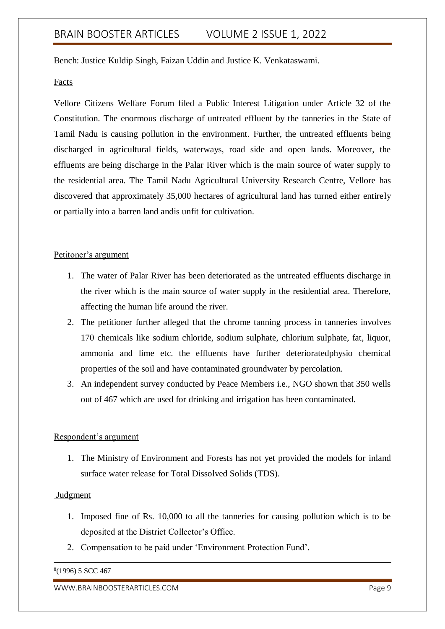Bench: Justice Kuldip Singh, Faizan Uddin and Justice K. Venkataswami.

#### Facts

Vellore Citizens Welfare Forum filed a Public Interest Litigation under Article 32 of the Constitution. The enormous discharge of untreated effluent by the tanneries in the State of Tamil Nadu is causing pollution in the environment. Further, the untreated effluents being discharged in agricultural fields, waterways, road side and open lands. Moreover, the effluents are being discharge in the Palar River which is the main source of water supply to the residential area. The Tamil Nadu Agricultural University Research Centre, Vellore has discovered that approximately 35,000 hectares of agricultural land has turned either entirely or partially into a barren land andis unfit for cultivation.

#### Petitoner's argument

- 1. The water of Palar River has been deteriorated as the untreated effluents discharge in the river which is the main source of water supply in the residential area. Therefore, affecting the human life around the river.
- 2. The petitioner further alleged that the chrome tanning process in tanneries involves 170 chemicals like sodium chloride, sodium sulphate, chlorium sulphate, fat, liquor, ammonia and lime etc. the effluents have further deterioratedphysio chemical properties of the soil and have contaminated groundwater by percolation.
- 3. An independent survey conducted by Peace Members i.e., NGO shown that 350 wells out of 467 which are used for drinking and irrigation has been contaminated.

#### Respondent's argument

1. The Ministry of Environment and Forests has not yet provided the models for inland surface water release for Total Dissolved Solids (TDS).

#### Judgment

- 1. Imposed fine of Rs. 10,000 to all the tanneries for causing pollution which is to be deposited at the District Collector's Office.
- 2. Compensation to be paid under 'Environment Protection Fund'.

#### 8 (1996) 5 SCC 467

-

WWW.BRAINBOOSTERARTICLES.COM extended that the control of the page 9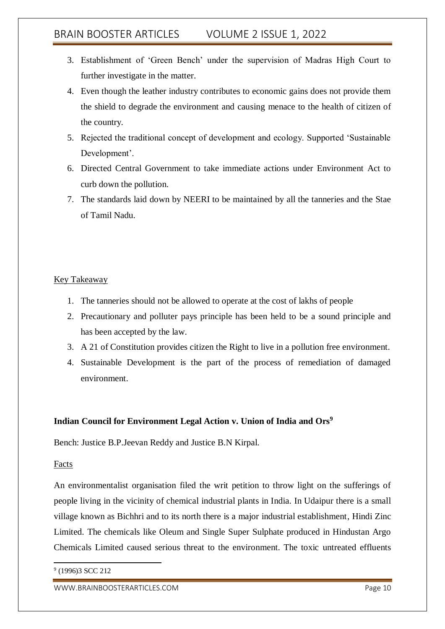- 3. Establishment of 'Green Bench' under the supervision of Madras High Court to further investigate in the matter.
- 4. Even though the leather industry contributes to economic gains does not provide them the shield to degrade the environment and causing menace to the health of citizen of the country.
- 5. Rejected the traditional concept of development and ecology. Supported 'Sustainable Development'.
- 6. Directed Central Government to take immediate actions under Environment Act to curb down the pollution.
- 7. The standards laid down by NEERI to be maintained by all the tanneries and the Stae of Tamil Nadu.

## Key Takeaway

- 1. The tanneries should not be allowed to operate at the cost of lakhs of people
- 2. Precautionary and polluter pays principle has been held to be a sound principle and has been accepted by the law.
- 3. A 21 of Constitution provides citizen the Right to live in a pollution free environment.
- 4. Sustainable Development is the part of the process of remediation of damaged environment.

## **Indian Council for Environment Legal Action v. Union of India and Ors<sup>9</sup>**

Bench: Justice B.P.Jeevan Reddy and Justice B.N Kirpal.

## Facts

-

An environmentalist organisation filed the writ petition to throw light on the sufferings of people living in the vicinity of chemical industrial plants in India. In Udaipur there is a small village known as Bichhri and to its north there is a major industrial establishment, Hindi Zinc Limited. The chemicals like Oleum and Single Super Sulphate produced in Hindustan Argo Chemicals Limited caused serious threat to the environment. The toxic untreated effluents

<sup>&</sup>lt;sup>9</sup> (1996)3 SCC 212

WWW.BRAINBOOSTERARTICLES.COM enterprise of the state of the page 10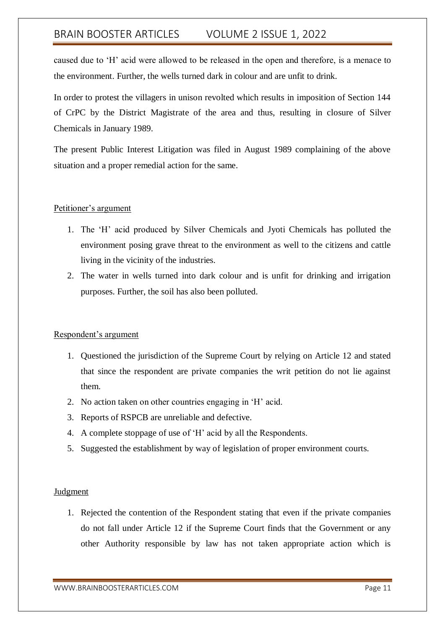caused due to 'H' acid were allowed to be released in the open and therefore, is a menace to the environment. Further, the wells turned dark in colour and are unfit to drink.

In order to protest the villagers in unison revolted which results in imposition of Section 144 of CrPC by the District Magistrate of the area and thus, resulting in closure of Silver Chemicals in January 1989.

The present Public Interest Litigation was filed in August 1989 complaining of the above situation and a proper remedial action for the same.

### Petitioner's argument

- 1. The 'H' acid produced by Silver Chemicals and Jyoti Chemicals has polluted the environment posing grave threat to the environment as well to the citizens and cattle living in the vicinity of the industries.
- 2. The water in wells turned into dark colour and is unfit for drinking and irrigation purposes. Further, the soil has also been polluted.

### Respondent's argument

- 1. Questioned the jurisdiction of the Supreme Court by relying on Article 12 and stated that since the respondent are private companies the writ petition do not lie against them.
- 2. No action taken on other countries engaging in 'H' acid.
- 3. Reports of RSPCB are unreliable and defective.
- 4. A complete stoppage of use of 'H' acid by all the Respondents.
- 5. Suggested the establishment by way of legislation of proper environment courts.

### Judgment

1. Rejected the contention of the Respondent stating that even if the private companies do not fall under Article 12 if the Supreme Court finds that the Government or any other Authority responsible by law has not taken appropriate action which is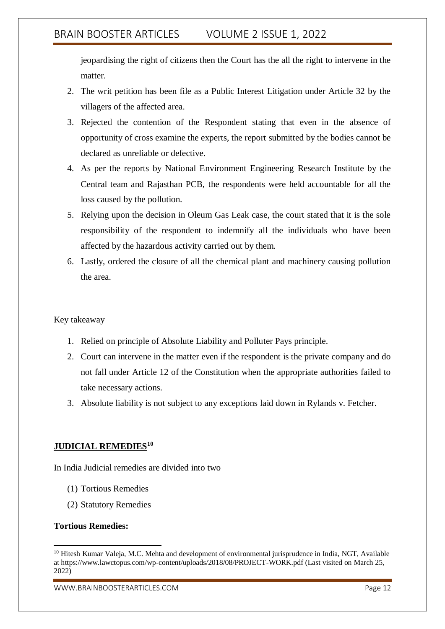jeopardising the right of citizens then the Court has the all the right to intervene in the matter.

- 2. The writ petition has been file as a Public Interest Litigation under Article 32 by the villagers of the affected area.
- 3. Rejected the contention of the Respondent stating that even in the absence of opportunity of cross examine the experts, the report submitted by the bodies cannot be declared as unreliable or defective.
- 4. As per the reports by National Environment Engineering Research Institute by the Central team and Rajasthan PCB, the respondents were held accountable for all the loss caused by the pollution.
- 5. Relying upon the decision in Oleum Gas Leak case, the court stated that it is the sole responsibility of the respondent to indemnify all the individuals who have been affected by the hazardous activity carried out by them.
- 6. Lastly, ordered the closure of all the chemical plant and machinery causing pollution the area.

### Key takeaway

- 1. Relied on principle of Absolute Liability and Polluter Pays principle.
- 2. Court can intervene in the matter even if the respondent is the private company and do not fall under Article 12 of the Constitution when the appropriate authorities failed to take necessary actions.
- 3. Absolute liability is not subject to any exceptions laid down in Rylands v. Fetcher.

### **JUDICIAL REMEDIES<sup>10</sup>**

In India Judicial remedies are divided into two

- (1) Tortious Remedies
- (2) Statutory Remedies

#### **Tortious Remedies:**

WWW.BRAINBOOSTERARTICLES.COM enterprise of the state of the page 12

<sup>1</sup> <sup>10</sup> Hitesh Kumar Valeja, M.C. Mehta and development of environmental jurisprudence in India, NGT, Available at https://www.lawctopus.com/wp-content/uploads/2018/08/PROJECT-WORK.pdf (Last visited on March 25, 2022)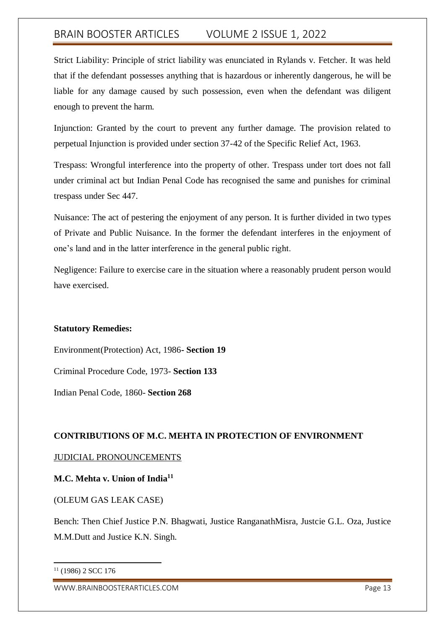Strict Liability: Principle of strict liability was enunciated in Rylands v. Fetcher. It was held that if the defendant possesses anything that is hazardous or inherently dangerous, he will be liable for any damage caused by such possession, even when the defendant was diligent enough to prevent the harm.

Injunction: Granted by the court to prevent any further damage. The provision related to perpetual Injunction is provided under section 37-42 of the Specific Relief Act, 1963.

Trespass: Wrongful interference into the property of other. Trespass under tort does not fall under criminal act but Indian Penal Code has recognised the same and punishes for criminal trespass under Sec 447.

Nuisance: The act of pestering the enjoyment of any person. It is further divided in two types of Private and Public Nuisance. In the former the defendant interferes in the enjoyment of one's land and in the latter interference in the general public right.

Negligence: Failure to exercise care in the situation where a reasonably prudent person would have exercised.

## **Statutory Remedies:**

Environment(Protection) Act, 1986**- Section 19**

Criminal Procedure Code, 1973- **Section 133**

Indian Penal Code, 1860- **Section 268**

## **CONTRIBUTIONS OF M.C. MEHTA IN PROTECTION OF ENVIRONMENT**

## JUDICIAL PRONOUNCEMENTS

## **M.C. Mehta v. Union of India<sup>11</sup>**

## (OLEUM GAS LEAK CASE)

Bench: Then Chief Justice P.N. Bhagwati, Justice RanganathMisra, Justcie G.L. Oza, Justice M.M.Dutt and Justice K.N. Singh.

-

 $11$  (1986) 2 SCC 176

WWW.BRAINBOOSTERARTICLES.COM **Page 13**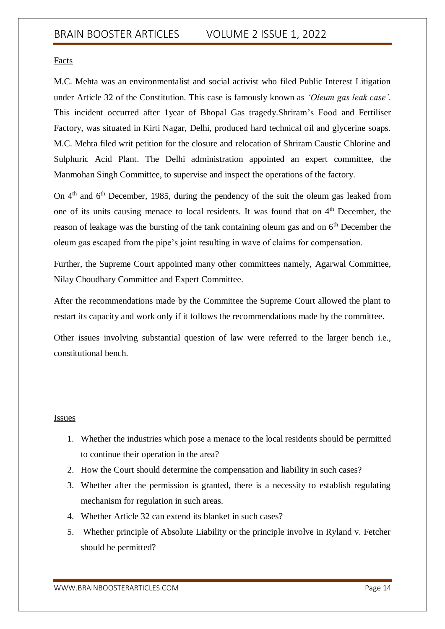Facts

M.C. Mehta was an environmentalist and social activist who filed Public Interest Litigation under Article 32 of the Constitution. This case is famously known as *'Oleum gas leak case'*. This incident occurred after 1year of Bhopal Gas tragedy.Shriram's Food and Fertiliser Factory, was situated in Kirti Nagar, Delhi, produced hard technical oil and glycerine soaps. M.C. Mehta filed writ petition for the closure and relocation of Shriram Caustic Chlorine and Sulphuric Acid Plant. The Delhi administration appointed an expert committee, the Manmohan Singh Committee, to supervise and inspect the operations of the factory.

On 4<sup>th</sup> and 6<sup>th</sup> December, 1985, during the pendency of the suit the oleum gas leaked from one of its units causing menace to local residents. It was found that on  $4<sup>th</sup>$  December, the reason of leakage was the bursting of the tank containing oleum gas and on 6<sup>th</sup> December the oleum gas escaped from the pipe's joint resulting in wave of claims for compensation.

Further, the Supreme Court appointed many other committees namely, Agarwal Committee, Nilay Choudhary Committee and Expert Committee.

After the recommendations made by the Committee the Supreme Court allowed the plant to restart its capacity and work only if it follows the recommendations made by the committee.

Other issues involving substantial question of law were referred to the larger bench i.e., constitutional bench.

### Issues

- 1. Whether the industries which pose a menace to the local residents should be permitted to continue their operation in the area?
- 2. How the Court should determine the compensation and liability in such cases?
- 3. Whether after the permission is granted, there is a necessity to establish regulating mechanism for regulation in such areas.
- 4. Whether Article 32 can extend its blanket in such cases?
- 5. Whether principle of Absolute Liability or the principle involve in Ryland v. Fetcher should be permitted?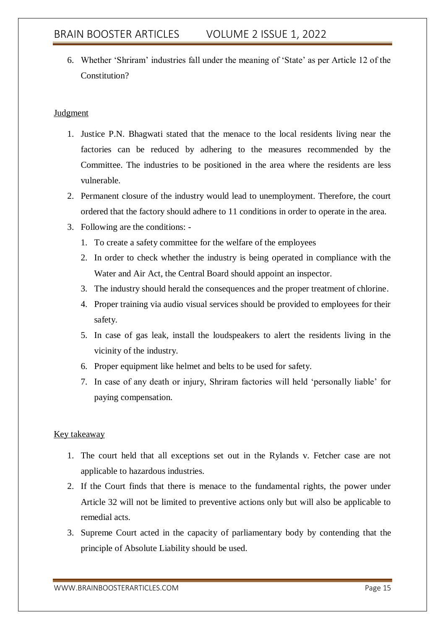6. Whether 'Shriram' industries fall under the meaning of 'State' as per Article 12 of the Constitution?

### Judgment

- 1. Justice P.N. Bhagwati stated that the menace to the local residents living near the factories can be reduced by adhering to the measures recommended by the Committee. The industries to be positioned in the area where the residents are less vulnerable.
- 2. Permanent closure of the industry would lead to unemployment. Therefore, the court ordered that the factory should adhere to 11 conditions in order to operate in the area.
- 3. Following are the conditions:
	- 1. To create a safety committee for the welfare of the employees
	- 2. In order to check whether the industry is being operated in compliance with the Water and Air Act, the Central Board should appoint an inspector.
	- 3. The industry should herald the consequences and the proper treatment of chlorine.
	- 4. Proper training via audio visual services should be provided to employees for their safety.
	- 5. In case of gas leak, install the loudspeakers to alert the residents living in the vicinity of the industry.
	- 6. Proper equipment like helmet and belts to be used for safety.
	- 7. In case of any death or injury, Shriram factories will held 'personally liable' for paying compensation.

### Key takeaway

- 1. The court held that all exceptions set out in the Rylands v. Fetcher case are not applicable to hazardous industries.
- 2. If the Court finds that there is menace to the fundamental rights, the power under Article 32 will not be limited to preventive actions only but will also be applicable to remedial acts.
- 3. Supreme Court acted in the capacity of parliamentary body by contending that the principle of Absolute Liability should be used.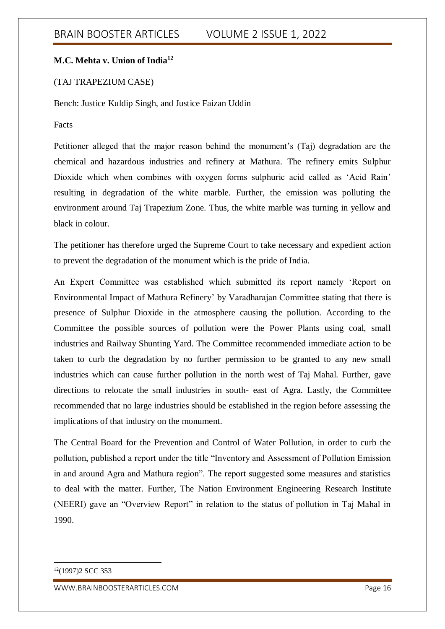## **M.C. Mehta v. Union of India<sup>12</sup>**

### (TAJ TRAPEZIUM CASE)

Bench: Justice Kuldip Singh, and Justice Faizan Uddin

### Facts

Petitioner alleged that the major reason behind the monument's (Taj) degradation are the chemical and hazardous industries and refinery at Mathura. The refinery emits Sulphur Dioxide which when combines with oxygen forms sulphuric acid called as 'Acid Rain' resulting in degradation of the white marble. Further, the emission was polluting the environment around Taj Trapezium Zone. Thus, the white marble was turning in yellow and black in colour.

The petitioner has therefore urged the Supreme Court to take necessary and expedient action to prevent the degradation of the monument which is the pride of India.

An Expert Committee was established which submitted its report namely 'Report on Environmental Impact of Mathura Refinery' by Varadharajan Committee stating that there is presence of Sulphur Dioxide in the atmosphere causing the pollution. According to the Committee the possible sources of pollution were the Power Plants using coal, small industries and Railway Shunting Yard. The Committee recommended immediate action to be taken to curb the degradation by no further permission to be granted to any new small industries which can cause further pollution in the north west of Taj Mahal. Further, gave directions to relocate the small industries in south- east of Agra. Lastly, the Committee recommended that no large industries should be established in the region before assessing the implications of that industry on the monument.

The Central Board for the Prevention and Control of Water Pollution, in order to curb the pollution, published a report under the title "Inventory and Assessment of Pollution Emission in and around Agra and Mathura region". The report suggested some measures and statistics to deal with the matter. Further, The Nation Environment Engineering Research Institute (NEERI) gave an "Overview Report" in relation to the status of pollution in Taj Mahal in 1990.

-

<sup>12</sup>(1997)2 SCC 353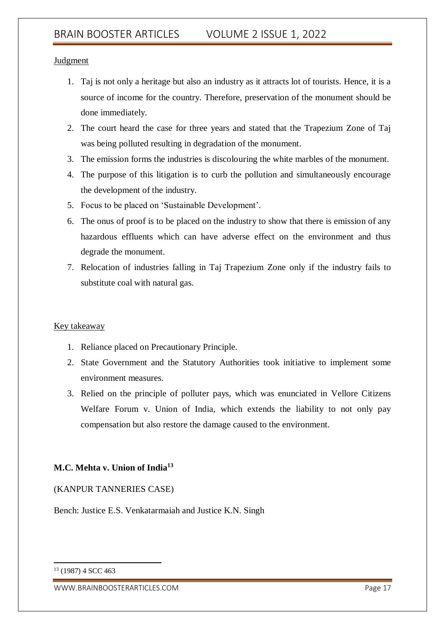### Judgment

- 1. Taj is not only a heritage but also an industry as it attracts lot of tourists. Hence, it is a source of income for the country. Therefore, preservation of the monument should be done immediately.
- 2. The court heard the case for three years and stated that the Trapezium Zone of Taj was being polluted resulting in degradation of the monument.
- 3. The emission forms the industries is discolouring the white marbles of the monument.
- 4. The purpose of this litigation is to curb the pollution and simultaneously encourage the development of the industry.
- 5. Focus to be placed on 'Sustainable Development'.
- 6. The onus of proof is to be placed on the industry to show that there is emission of any hazardous effluents which can have adverse effect on the environment and thus degrade the monument.
- 7. Relocation of industries falling in Taj Trapezium Zone only if the industry fails to substitute coal with natural gas.

## Key takeaway

- 1. Reliance placed on Precautionary Principle.
- 2. State Government and the Statutory Authorities took initiative to implement some environment measures.
- 3. Relied on the principle of polluter pays, which was enunciated in Vellore Citizens Welfare Forum v. Union of India, which extends the liability to not only pay compensation but also restore the damage caused to the environment.

## **M.C. Mehta v. Union of India<sup>13</sup>**

(KANPUR TANNERIES CASE)

Bench: Justice E.S. Venkatarmaiah and Justice K.N. Singh

-

<sup>13</sup> (1987) 4 SCC 463

WWW.BRAINBOOSTERARTICLES.COM enterprise of the state of the page 17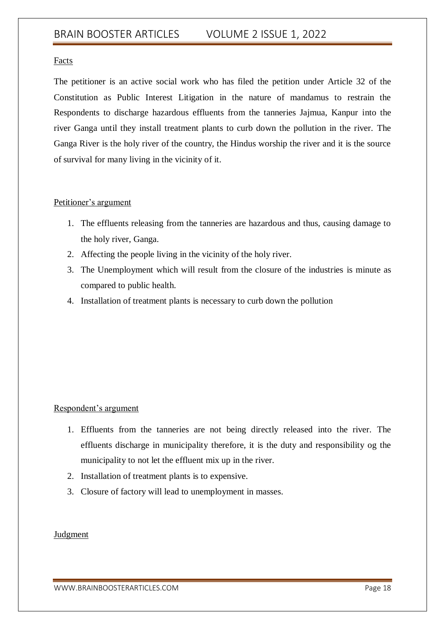### Facts

The petitioner is an active social work who has filed the petition under Article 32 of the Constitution as Public Interest Litigation in the nature of mandamus to restrain the Respondents to discharge hazardous effluents from the tanneries Jajmua, Kanpur into the river Ganga until they install treatment plants to curb down the pollution in the river. The Ganga River is the holy river of the country, the Hindus worship the river and it is the source of survival for many living in the vicinity of it.

### Petitioner's argument

- 1. The effluents releasing from the tanneries are hazardous and thus, causing damage to the holy river, Ganga.
- 2. Affecting the people living in the vicinity of the holy river.
- 3. The Unemployment which will result from the closure of the industries is minute as compared to public health.
- 4. Installation of treatment plants is necessary to curb down the pollution

## Respondent's argument

- 1. Effluents from the tanneries are not being directly released into the river. The effluents discharge in municipality therefore, it is the duty and responsibility og the municipality to not let the effluent mix up in the river.
- 2. Installation of treatment plants is to expensive.
- 3. Closure of factory will lead to unemployment in masses.

## Judgment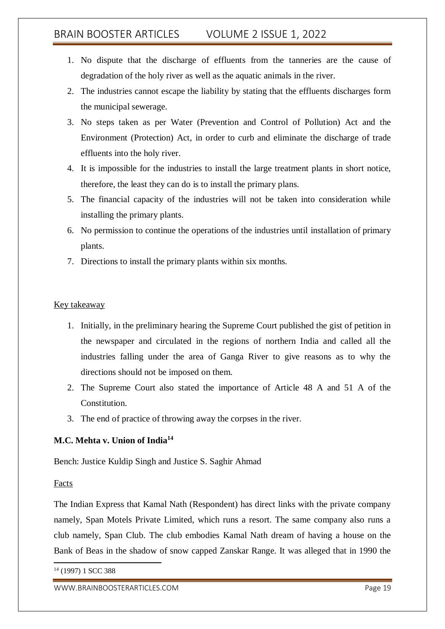- 1. No dispute that the discharge of effluents from the tanneries are the cause of degradation of the holy river as well as the aquatic animals in the river.
- 2. The industries cannot escape the liability by stating that the effluents discharges form the municipal sewerage.
- 3. No steps taken as per Water (Prevention and Control of Pollution) Act and the Environment (Protection) Act, in order to curb and eliminate the discharge of trade effluents into the holy river.
- 4. It is impossible for the industries to install the large treatment plants in short notice, therefore, the least they can do is to install the primary plans.
- 5. The financial capacity of the industries will not be taken into consideration while installing the primary plants.
- 6. No permission to continue the operations of the industries until installation of primary plants.
- 7. Directions to install the primary plants within six months.

### Key takeaway

- 1. Initially, in the preliminary hearing the Supreme Court published the gist of petition in the newspaper and circulated in the regions of northern India and called all the industries falling under the area of Ganga River to give reasons as to why the directions should not be imposed on them.
- 2. The Supreme Court also stated the importance of Article 48 A and 51 A of the Constitution.
- 3. The end of practice of throwing away the corpses in the river.

## **M.C. Mehta v. Union of India<sup>14</sup>**

Bench: Justice Kuldip Singh and Justice S. Saghir Ahmad

## **Facts**

The Indian Express that Kamal Nath (Respondent) has direct links with the private company namely, Span Motels Private Limited, which runs a resort. The same company also runs a club namely, Span Club. The club embodies Kamal Nath dream of having a house on the Bank of Beas in the shadow of snow capped Zanskar Range. It was alleged that in 1990 the

<sup>-</sup><sup>14</sup> (1997) 1 SCC 388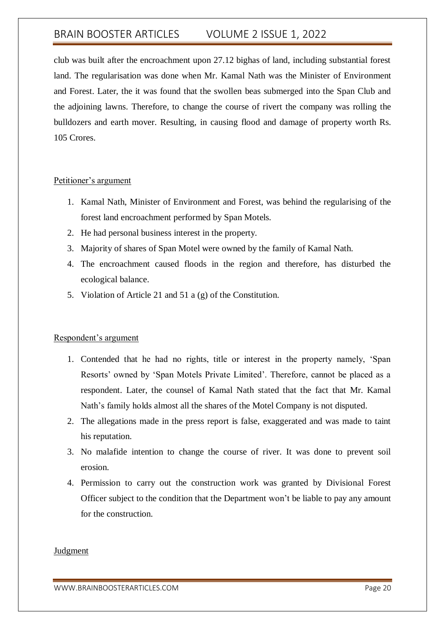club was built after the encroachment upon 27.12 bighas of land, including substantial forest land. The regularisation was done when Mr. Kamal Nath was the Minister of Environment and Forest. Later, the it was found that the swollen beas submerged into the Span Club and the adjoining lawns. Therefore, to change the course of rivert the company was rolling the bulldozers and earth mover. Resulting, in causing flood and damage of property worth Rs. 105 Crores.

### Petitioner's argument

- 1. Kamal Nath, Minister of Environment and Forest, was behind the regularising of the forest land encroachment performed by Span Motels.
- 2. He had personal business interest in the property.
- 3. Majority of shares of Span Motel were owned by the family of Kamal Nath.
- 4. The encroachment caused floods in the region and therefore, has disturbed the ecological balance.
- 5. Violation of Article 21 and 51 a (g) of the Constitution.

## Respondent's argument

- 1. Contended that he had no rights, title or interest in the property namely, 'Span Resorts' owned by 'Span Motels Private Limited'. Therefore, cannot be placed as a respondent. Later, the counsel of Kamal Nath stated that the fact that Mr. Kamal Nath's family holds almost all the shares of the Motel Company is not disputed.
- 2. The allegations made in the press report is false, exaggerated and was made to taint his reputation.
- 3. No malafide intention to change the course of river. It was done to prevent soil erosion.
- 4. Permission to carry out the construction work was granted by Divisional Forest Officer subject to the condition that the Department won't be liable to pay any amount for the construction.

### Judgment

WWW.BRAINBOOSTERARTICLES.COM **Page 20**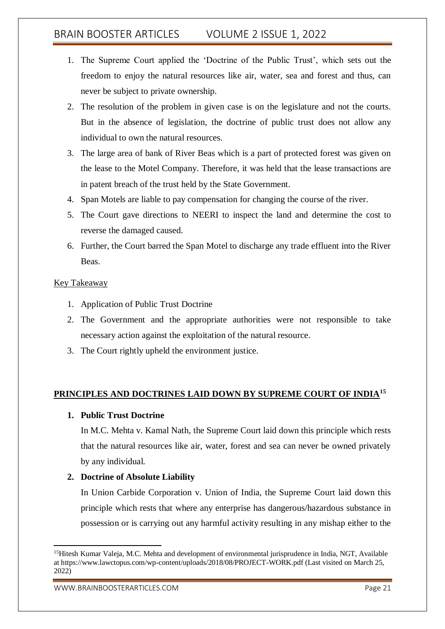- 1. The Supreme Court applied the 'Doctrine of the Public Trust', which sets out the freedom to enjoy the natural resources like air, water, sea and forest and thus, can never be subject to private ownership.
- 2. The resolution of the problem in given case is on the legislature and not the courts. But in the absence of legislation, the doctrine of public trust does not allow any individual to own the natural resources.
- 3. The large area of bank of River Beas which is a part of protected forest was given on the lease to the Motel Company. Therefore, it was held that the lease transactions are in patent breach of the trust held by the State Government.
- 4. Span Motels are liable to pay compensation for changing the course of the river.
- 5. The Court gave directions to NEERI to inspect the land and determine the cost to reverse the damaged caused.
- 6. Further, the Court barred the Span Motel to discharge any trade effluent into the River Beas.

### Key Takeaway

- 1. Application of Public Trust Doctrine
- 2. The Government and the appropriate authorities were not responsible to take necessary action against the exploitation of the natural resource.
- 3. The Court rightly upheld the environment justice.

## **PRINCIPLES AND DOCTRINES LAID DOWN BY SUPREME COURT OF INDIA<sup>15</sup>**

### **1. Public Trust Doctrine**

In M.C. Mehta v. Kamal Nath, the Supreme Court laid down this principle which rests that the natural resources like air, water, forest and sea can never be owned privately by any individual.

## **2. Doctrine of Absolute Liability**

In Union Carbide Corporation v. Union of India, the Supreme Court laid down this principle which rests that where any enterprise has dangerous/hazardous substance in possession or is carrying out any harmful activity resulting in any mishap either to the

<sup>1</sup> <sup>15</sup>Hitesh Kumar Valeja, M.C. Mehta and development of environmental jurisprudence in India, NGT, Available at https://www.lawctopus.com/wp-content/uploads/2018/08/PROJECT-WORK.pdf (Last visited on March 25, 2022)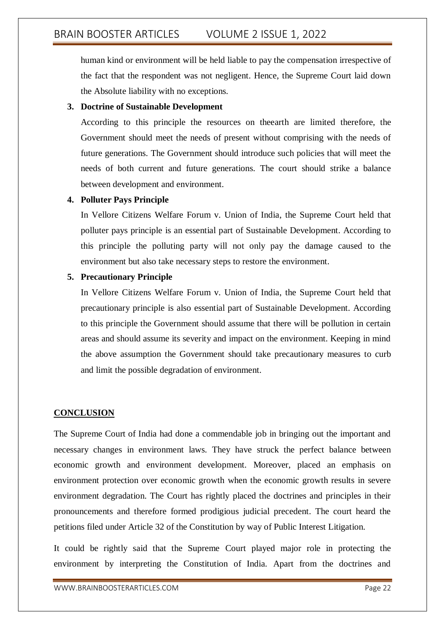human kind or environment will be held liable to pay the compensation irrespective of the fact that the respondent was not negligent. Hence, the Supreme Court laid down the Absolute liability with no exceptions.

## **3. Doctrine of Sustainable Development**

According to this principle the resources on theearth are limited therefore, the Government should meet the needs of present without comprising with the needs of future generations. The Government should introduce such policies that will meet the needs of both current and future generations. The court should strike a balance between development and environment.

## **4. Polluter Pays Principle**

In Vellore Citizens Welfare Forum v. Union of India, the Supreme Court held that polluter pays principle is an essential part of Sustainable Development. According to this principle the polluting party will not only pay the damage caused to the environment but also take necessary steps to restore the environment.

## **5. Precautionary Principle**

In Vellore Citizens Welfare Forum v. Union of India, the Supreme Court held that precautionary principle is also essential part of Sustainable Development. According to this principle the Government should assume that there will be pollution in certain areas and should assume its severity and impact on the environment. Keeping in mind the above assumption the Government should take precautionary measures to curb and limit the possible degradation of environment.

## **CONCLUSION**

The Supreme Court of India had done a commendable job in bringing out the important and necessary changes in environment laws. They have struck the perfect balance between economic growth and environment development. Moreover, placed an emphasis on environment protection over economic growth when the economic growth results in severe environment degradation. The Court has rightly placed the doctrines and principles in their pronouncements and therefore formed prodigious judicial precedent. The court heard the petitions filed under Article 32 of the Constitution by way of Public Interest Litigation.

It could be rightly said that the Supreme Court played major role in protecting the environment by interpreting the Constitution of India. Apart from the doctrines and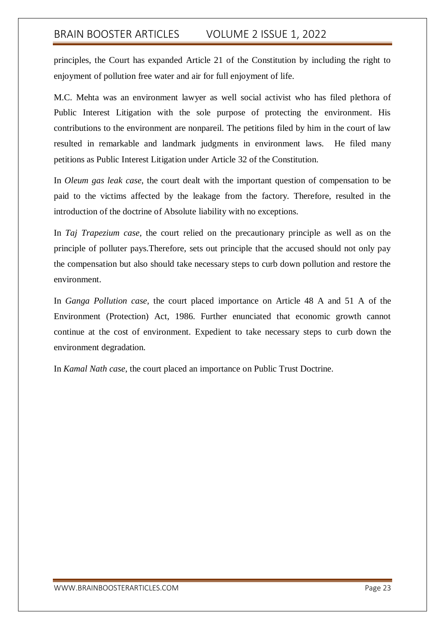principles, the Court has expanded Article 21 of the Constitution by including the right to enjoyment of pollution free water and air for full enjoyment of life.

M.C. Mehta was an environment lawyer as well social activist who has filed plethora of Public Interest Litigation with the sole purpose of protecting the environment. His contributions to the environment are nonpareil. The petitions filed by him in the court of law resulted in remarkable and landmark judgments in environment laws. He filed many petitions as Public Interest Litigation under Article 32 of the Constitution.

In *Oleum gas leak case*, the court dealt with the important question of compensation to be paid to the victims affected by the leakage from the factory. Therefore, resulted in the introduction of the doctrine of Absolute liability with no exceptions.

In *Taj Trapezium case,* the court relied on the precautionary principle as well as on the principle of polluter pays.Therefore, sets out principle that the accused should not only pay the compensation but also should take necessary steps to curb down pollution and restore the environment.

In *Ganga Pollution case,* the court placed importance on Article 48 A and 51 A of the Environment (Protection) Act, 1986. Further enunciated that economic growth cannot continue at the cost of environment. Expedient to take necessary steps to curb down the environment degradation.

In *Kamal Nath case*, the court placed an importance on Public Trust Doctrine.